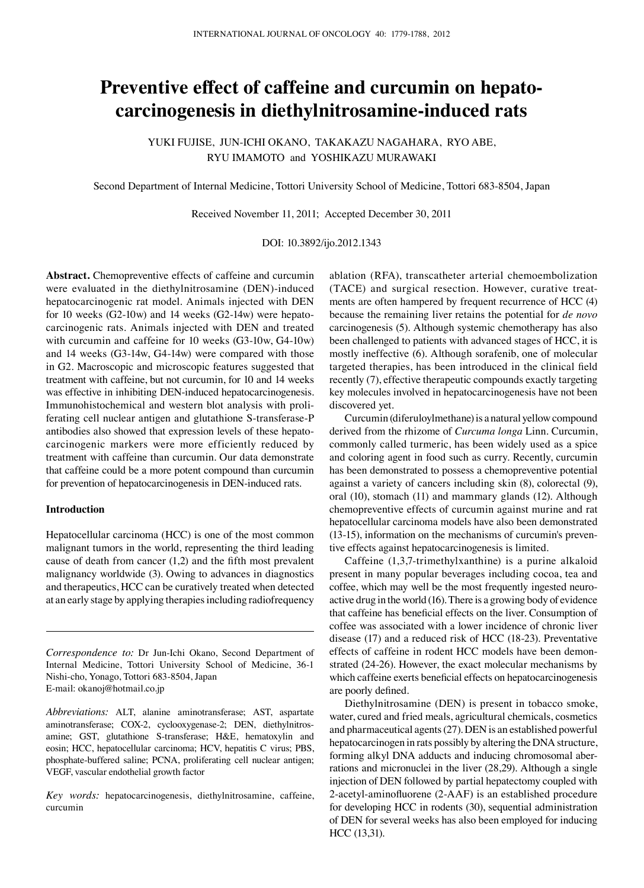# **Preventive effect of caffeine and curcumin on hepatocarcinogenesis in diethylnitrosamine-induced rats**

YUKI FUJISE, JUN-ICHI OKANO, TAKAKAZU NAGAHARA, RYO ABE, RYU IMAMOTO and YOSHIKAZU MURAWAKI

Second Department of Internal Medicine, Tottori University School of Medicine, Tottori 683-8504, Japan

Received November 11, 2011; Accepted December 30, 2011

DOI: 10.3892/ijo.2012.1343

**Abstract.** Chemopreventive effects of caffeine and curcumin were evaluated in the diethylnitrosamine (DEN)-induced hepatocarcinogenic rat model. Animals injected with DEN for 10 weeks (G2-10w) and 14 weeks (G2-14w) were hepatocarcinogenic rats. Animals injected with DEN and treated with curcumin and caffeine for 10 weeks (G3-10w, G4-10w) and 14 weeks (G3-14w, G4-14w) were compared with those in G2. Macroscopic and microscopic features suggested that treatment with caffeine, but not curcumin, for 10 and 14 weeks was effective in inhibiting DEN-induced hepatocarcinogenesis. Immunohistochemical and western blot analysis with proliferating cell nuclear antigen and glutathione S-transferase-P antibodies also showed that expression levels of these hepatocarcinogenic markers were more efficiently reduced by treatment with caffeine than curcumin. Our data demonstrate that caffeine could be a more potent compound than curcumin for prevention of hepatocarcinogenesis in DEN-induced rats.

## **Introduction**

Hepatocellular carcinoma (HCC) is one of the most common malignant tumors in the world, representing the third leading cause of death from cancer (1,2) and the fifth most prevalent malignancy worldwide (3). Owing to advances in diagnostics and therapeutics, HCC can be curatively treated when detected at an early stage by applying therapies including radiofrequency

*Correspondence to:* Dr Jun-Ichi Okano, Second Department of Internal Medicine, Tottori University School of Medicine, 36-1 Nishi-cho, Yonago, Tottori 683-8504, Japan E-mail: okanoj@hotmail.co.jp

*Abbreviations:* ALT, alanine aminotransferase; AST, aspartate aminotransferase; COX-2, cyclooxygenase-2; DEN, diethylnitrosamine; GST, glutathione S-transferase; H&E, hematoxylin and eosin; HCC, hepatocellular carcinoma; HCV, hepatitis C virus; PBS, phosphate-buffered saline; PCNA, proliferating cell nuclear antigen; VEGF, vascular endothelial growth factor

*Key words:* hepatocarcinogenesis, diethylnitrosamine, caffeine, curcumin

ablation (RFA), transcatheter arterial chemoembolization (TACE) and surgical resection. However, curative treatments are often hampered by frequent recurrence of HCC (4) because the remaining liver retains the potential for *de novo* carcinogenesis (5). Although systemic chemotherapy has also been challenged to patients with advanced stages of HCC, it is mostly ineffective (6). Although sorafenib, one of molecular targeted therapies, has been introduced in the clinical field recently (7), effective therapeutic compounds exactly targeting key molecules involved in hepatocarcinogenesis have not been discovered yet.

Curcumin (diferuloylmethane) is a natural yellow compound derived from the rhizome of *Curcuma longa* Linn. Curcumin, commonly called turmeric, has been widely used as a spice and coloring agent in food such as curry. Recently, curcumin has been demonstrated to possess a chemopreventive potential against a variety of cancers including skin (8), colorectal (9), oral (10), stomach (11) and mammary glands (12). Although chemopreventive effects of curcumin against murine and rat hepatocellular carcinoma models have also been demonstrated (13-15), information on the mechanisms of curcumin's preventive effects against hepatocarcinogenesis is limited.

Caffeine (1,3,7-trimethylxanthine) is a purine alkaloid present in many popular beverages including cocoa, tea and coffee, which may well be the most frequently ingested neuroactive drug in the world (16). There is a growing body of evidence that caffeine has beneficial effects on the liver. Consumption of coffee was associated with a lower incidence of chronic liver disease (17) and a reduced risk of HCC (18-23). Preventative effects of caffeine in rodent HCC models have been demonstrated (24-26). However, the exact molecular mechanisms by which caffeine exerts beneficial effects on hepatocarcinogenesis are poorly defined.

Diethylnitrosamine (DEN) is present in tobacco smoke, water, cured and fried meals, agricultural chemicals, cosmetics and pharmaceutical agents (27). DEN is an established powerful hepatocarcinogen in rats possibly by altering the DNA structure, forming alkyl DNA adducts and inducing chromosomal aberrations and micronuclei in the liver (28,29). Although a single injection of DEN followed by partial hepatectomy coupled with 2-acetyl-aminofluorene (2-AAF) is an established procedure for developing HCC in rodents (30), sequential administration of DEN for several weeks has also been employed for inducing HCC (13,31).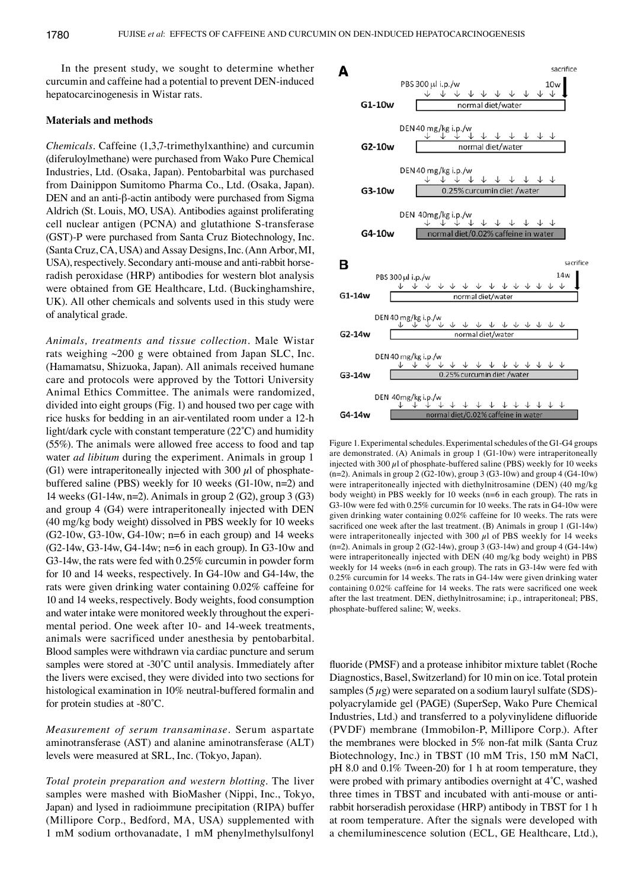In the present study, we sought to determine whether curcumin and caffeine had a potential to prevent DEN-induced hepatocarcinogenesis in Wistar rats.

#### **Materials and methods**

*Chemicals.* Caffeine (1,3,7-trimethylxanthine) and curcumin (diferuloylmethane) were purchased from Wako Pure Chemical Industries, Ltd. (Osaka, Japan). Pentobarbital was purchased from Dainippon Sumitomo Pharma Co., Ltd. (Osaka, Japan). DEN and an anti-β-actin antibody were purchased from Sigma Aldrich (St. Louis, MO, USA). Antibodies against proliferating cell nuclear antigen (PCNA) and glutathione S-transferase (GST)-P were purchased from Santa Cruz Biotechnology, Inc. (Santa Cruz, CA, USA) and Assay Designs, Inc. (Ann Arbor, MI, USA), respectively. Secondary anti-mouse and anti-rabbit horseradish peroxidase (HRP) antibodies for western blot analysis were obtained from GE Healthcare, Ltd. (Buckinghamshire, UK). All other chemicals and solvents used in this study were of analytical grade.

*Animals, treatments and tissue collection.* Male Wistar rats weighing ~200 g were obtained from Japan SLC, Inc. (Hamamatsu, Shizuoka, Japan). All animals received humane care and protocols were approved by the Tottori University Animal Ethics Committee. The animals were randomized, divided into eight groups (Fig. 1) and housed two per cage with rice husks for bedding in an air-ventilated room under a 12-h light/dark cycle with constant temperature (22˚C) and humidity (55%). The animals were allowed free access to food and tap water *ad libitum* during the experiment. Animals in group 1 (G1) were intraperitoneally injected with 300  $\mu$ l of phosphatebuffered saline (PBS) weekly for 10 weeks (G1-10w, n=2) and 14 weeks (G1-14w, n=2). Animals in group 2 (G2), group 3 (G3) and group 4 (G4) were intraperitoneally injected with DEN (40 mg/kg body weight) dissolved in PBS weekly for 10 weeks  $(G2-10w, G3-10w, G4-10w; n=6$  in each group) and 14 weeks  $(G2-14w, G3-14w, G4-14w; n=6$  in each group). In  $G3-10w$  and G3-14w, the rats were fed with 0.25% curcumin in powder form for 10 and 14 weeks, respectively. In G4-10w and G4-14w, the rats were given drinking water containing 0.02% caffeine for 10 and 14 weeks, respectively. Body weights, food consumption and water intake were monitored weekly throughout the experimental period. One week after 10- and 14-week treatments, animals were sacrificed under anesthesia by pentobarbital. Blood samples were withdrawn via cardiac puncture and serum samples were stored at -30°C until analysis. Immediately after the livers were excised, they were divided into two sections for histological examination in 10% neutral-buffered formalin and for protein studies at -80˚C.

*Measurement of serum transaminase.* Serum aspartate aminotransferase (AST) and alanine aminotransferase (ALT) levels were measured at SRL, Inc. (Tokyo, Japan).

*Total protein preparation and western blotting.* The liver samples were mashed with BioMasher (Nippi, Inc., Tokyo, Japan) and lysed in radioimmune precipitation (RIPA) buffer (Millipore Corp., Bedford, MA, USA) supplemented with 1 mM sodium orthovanadate, 1 mM phenylmethylsulfonyl



Figure 1. Experimental schedules. Experimental schedules of the G1-G4 groups are demonstrated. (A) Animals in group 1 (G1-10w) were intraperitoneally injected with  $300 \mu$ l of phosphate-buffered saline (PBS) weekly for 10 weeks (n=2). Animals in group 2 (G2-10w), group 3 (G3-10w) and group 4 (G4-10w) were intraperitoneally injected with diethylnitrosamine (DEN) (40 mg/kg body weight) in PBS weekly for 10 weeks (n=6 in each group). The rats in G3-10w were fed with 0.25% curcumin for 10 weeks. The rats in G4-10w were given drinking water containing 0.02% caffeine for 10 weeks. The rats were sacrificed one week after the last treatment. (B) Animals in group 1 (G1-14w) were intraperitoneally injected with 300  $\mu$ l of PBS weekly for 14 weeks (n=2). Animals in group 2 (G2-14w), group 3 (G3-14w) and group 4 (G4-14w) were intraperitoneally injected with DEN (40 mg/kg body weight) in PBS weekly for 14 weeks (n=6 in each group). The rats in G3-14w were fed with 0.25% curcumin for 14 weeks. The rats in G4-14w were given drinking water containing 0.02% caffeine for 14 weeks. The rats were sacrificed one week after the last treatment. DEN, diethylnitrosamine; i.p., intraperitoneal; PBS, phosphate-buffered saline; W, weeks.

fluoride (PMSF) and a protease inhibitor mixture tablet (Roche Diagnostics, Basel, Switzerland) for 10 min on ice. Total protein samples  $(5 \mu g)$  were separated on a sodium lauryl sulfate (SDS)polyacrylamide gel (PAGE) (SuperSep, Wako Pure Chemical Industries, Ltd.) and transferred to a polyvinylidene difluoride (PVDF) membrane (Immobilon-P, Millipore Corp.). After the membranes were blocked in 5% non-fat milk (Santa Cruz Biotechnology, Inc.) in TBST (10 mM Tris, 150 mM NaCl, pH 8.0 and 0.1% Tween-20) for 1 h at room temperature, they were probed with primary antibodies overnight at 4˚C, washed three times in TBST and incubated with anti-mouse or antirabbit horseradish peroxidase (HRP) antibody in TBST for 1 h at room temperature. After the signals were developed with a chemiluminescence solution (ECL, GE Healthcare, Ltd.),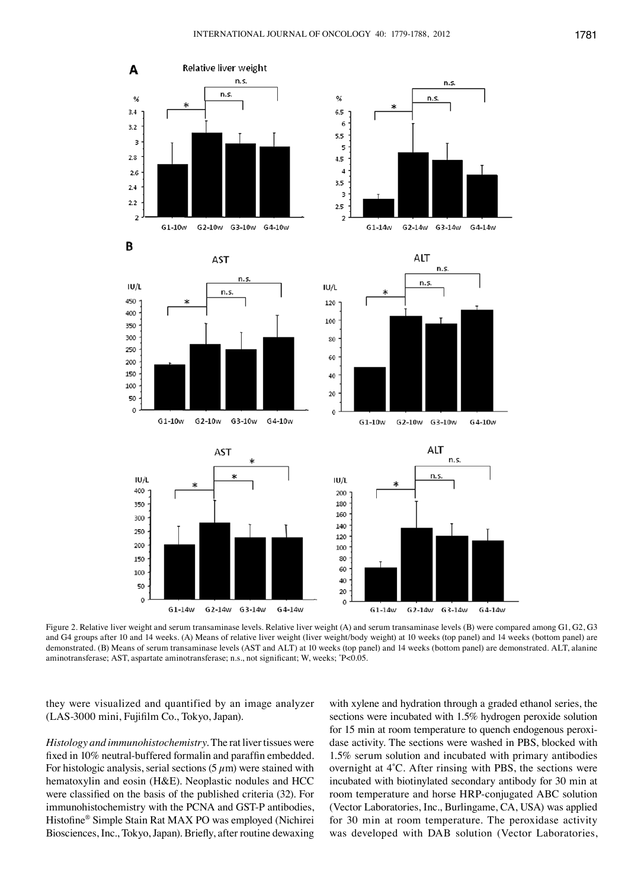

Figure 2. Relative liver weight and serum transaminase levels. Relative liver weight (A) and serum transaminase levels (B) were compared among G1, G2, G3 and G4 groups after 10 and 14 weeks. (A) Means of relative liver weight (liver weight/body weight) at 10 weeks (top panel) and 14 weeks (bottom panel) are demonstrated. (B) Means of serum transaminase levels (AST and ALT) at 10 weeks (top panel) and 14 weeks (bottom panel) are demonstrated. ALT, alanine aminotransferase; AST, aspartate aminotransferase; n.s., not significant; W, weeks; \* P<0.05.

they were visualized and quantified by an image analyzer (LAS‑3000 mini, Fujifilm Co., Tokyo, Japan).

*Histology and immunohistochemistry.* The rat liver tissues were fixed in 10% neutral-buffered formalin and paraffin embedded. For histologic analysis, serial sections  $(5 \mu m)$  were stained with hematoxylin and eosin (H&E). Neoplastic nodules and HCC were classified on the basis of the published criteria (32). For immunohistochemistry with the PCNA and GST-P antibodies, Histofine® Simple Stain Rat MAX PO was employed (Nichirei Biosciences, Inc., Tokyo, Japan). Briefly, after routine dewaxing

with xylene and hydration through a graded ethanol series, the sections were incubated with 1.5% hydrogen peroxide solution for 15 min at room temperature to quench endogenous peroxidase activity. The sections were washed in PBS, blocked with 1.5% serum solution and incubated with primary antibodies overnight at 4˚C. After rinsing with PBS, the sections were incubated with biotinylated secondary antibody for 30 min at room temperature and horse HRP-conjugated ABC solution (Vector Laboratories, Inc., Burlingame, CA, USA) was applied for 30 min at room temperature. The peroxidase activity was developed with DAB solution (Vector Laboratories,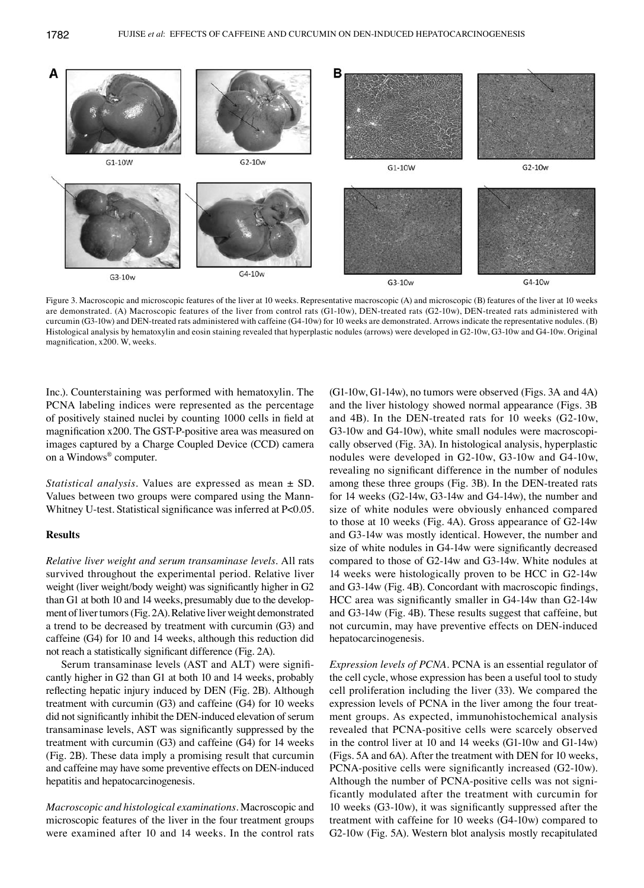

Figure 3. Macroscopic and microscopic features of the liver at 10 weeks. Representative macroscopic (A) and microscopic (B) features of the liver at 10 weeks are demonstrated. (A) Macroscopic features of the liver from control rats (G1-10w), DEN-treated rats (G2-10w), DEN-treated rats administered with curcumin (G3-10w) and DEN-treated rats administered with caffeine (G4-10w) for 10 weeks are demonstrated. Arrows indicate the representative nodules. (B) Histological analysis by hematoxylin and eosin staining revealed that hyperplastic nodules (arrows) were developed in G2-10w, G3-10w and G4-10w. Original magnification, x200. W, weeks.

Inc.). Counterstaining was performed with hematoxylin. The PCNA labeling indices were represented as the percentage of positively stained nuclei by counting 1000 cells in field at magnification x200. The GST-P-positive area was measured on images captured by a Charge Coupled Device (CCD) camera on a Windows® computer.

*Statistical analysis.* Values are expressed as mean ± SD. Values between two groups were compared using the Mann-Whitney U-test. Statistical significance was inferred at P<0.05.

### **Results**

*Relative liver weight and serum transaminase levels.* All rats survived throughout the experimental period. Relative liver weight (liver weight/body weight) was significantly higher in G2 than G1 at both 10 and 14 weeks, presumably due to the development of liver tumors (Fig. 2A). Relative liver weight demonstrated a trend to be decreased by treatment with curcumin (G3) and caffeine (G4) for 10 and 14 weeks, although this reduction did not reach a statistically significant difference (Fig. 2A).

Serum transaminase levels (AST and ALT) were significantly higher in G2 than G1 at both 10 and 14 weeks, probably reflecting hepatic injury induced by DEN (Fig. 2B). Although treatment with curcumin (G3) and caffeine (G4) for 10 weeks did not significantly inhibit the DEN-induced elevation of serum transaminase levels, AST was significantly suppressed by the treatment with curcumin (G3) and caffeine (G4) for 14 weeks (Fig. 2B). These data imply a promising result that curcumin and caffeine may have some preventive effects on DEN-induced hepatitis and hepatocarcinogenesis.

*Macroscopic and histological examinations.* Macroscopic and microscopic features of the liver in the four treatment groups were examined after 10 and 14 weeks. In the control rats (G1-10w, G1-14w), no tumors were observed (Figs. 3A and 4A) and the liver histology showed normal appearance (Figs. 3B and 4B). In the DEN-treated rats for 10 weeks (G2-10w, G3-10w and G4-10w), white small nodules were macroscopically observed (Fig. 3A). In histological analysis, hyperplastic nodules were developed in G2-10w, G3-10w and G4-10w, revealing no significant difference in the number of nodules among these three groups (Fig. 3B). In the DEN-treated rats for 14 weeks (G2-14w, G3-14w and G4-14w), the number and size of white nodules were obviously enhanced compared to those at 10 weeks (Fig. 4A). Gross appearance of G2-14w and G3-14w was mostly identical. However, the number and size of white nodules in G4-14w were significantly decreased compared to those of G2-14w and G3-14w. White nodules at 14 weeks were histologically proven to be HCC in G2-14w and G3-14w (Fig. 4B). Concordant with macroscopic findings, HCC area was significantly smaller in G4-14w than G2-14w and G3-14w (Fig. 4B). These results suggest that caffeine, but not curcumin, may have preventive effects on DEN-induced hepatocarcinogenesis.

*Expression levels of PCNA.* PCNA is an essential regulator of the cell cycle, whose expression has been a useful tool to study cell proliferation including the liver (33). We compared the expression levels of PCNA in the liver among the four treatment groups. As expected, immunohistochemical analysis revealed that PCNA-positive cells were scarcely observed in the control liver at 10 and 14 weeks (G1-10w and G1-14w) (Figs. 5A and 6A). After the treatment with DEN for 10 weeks, PCNA-positive cells were significantly increased (G2-10w). Although the number of PCNA-positive cells was not significantly modulated after the treatment with curcumin for 10 weeks (G3-10w), it was significantly suppressed after the treatment with caffeine for 10 weeks (G4-10w) compared to G2-10w (Fig. 5A). Western blot analysis mostly recapitulated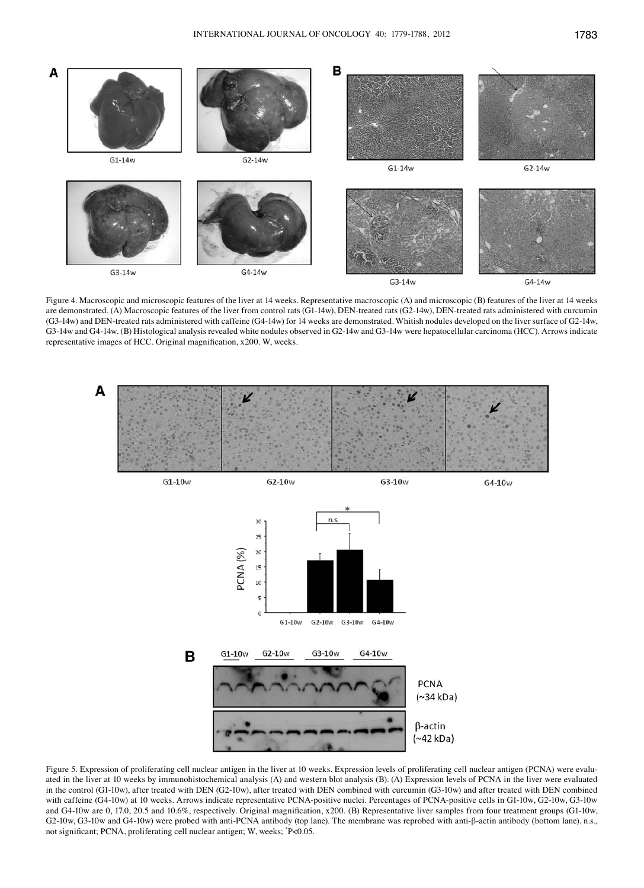

Figure 4. Macroscopic and microscopic features of the liver at 14 weeks. Representative macroscopic (A) and microscopic (B) features of the liver at 14 weeks are demonstrated. (A) Macroscopic features of the liver from control rats (G1-14w), DEN-treated rats (G2-14w), DEN-treated rats administered with curcumin (G3-14w) and DEN-treated rats administered with caffeine (G4-14w) for 14 weeks are demonstrated. Whitish nodules developed on the liver surface of G2-14w, G3-14w and G4-14w. (B) Histological analysis revealed white nodules observed in G2-14w and G3-14w were hepatocellular carcinoma (HCC). Arrows indicate representative images of HCC. Original magnification, x200. W, weeks.



Figure 5. Expression of proliferating cell nuclear antigen in the liver at 10 weeks. Expression levels of proliferating cell nuclear antigen (PCNA) were evaluated in the liver at 10 weeks by immunohistochemical analysis (A) and western blot analysis (B). (A) Expression levels of PCNA in the liver were evaluated in the control (G1-10w), after treated with DEN (G2-10w), after treated with DEN combined with curcumin (G3-10w) and after treated with DEN combined with caffeine (G4-10w) at 10 weeks. Arrows indicate representative PCNA-positive nuclei. Percentages of PCNA-positive cells in G1-10w, G2-10w, G3-10w and G4-10w are 0, 17.0, 20.5 and 10.6%, respectively. Original magnification, x200. (B) Representative liver samples from four treatment groups (G1-10w, G2-10w, G3-10w and G4-10w) were probed with anti-PCNA antibody (top lane). The membrane was reprobed with anti-β-actin antibody (bottom lane). n.s., not significant; PCNA, proliferating cell nuclear antigen; W, weeks; \* P<0.05.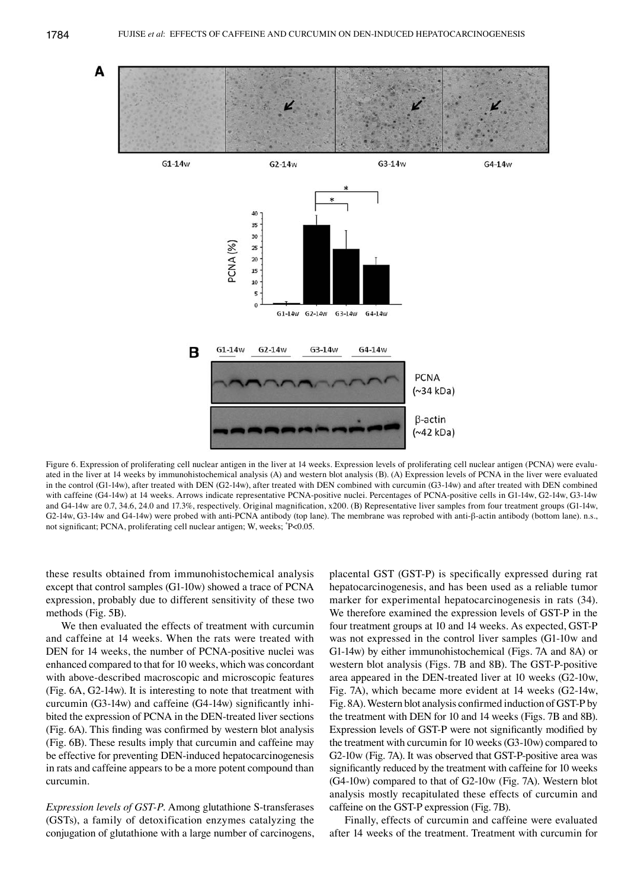

Figure 6. Expression of proliferating cell nuclear antigen in the liver at 14 weeks. Expression levels of proliferating cell nuclear antigen (PCNA) were evaluated in the liver at 14 weeks by immunohistochemical analysis (A) and western blot analysis (B). (A) Expression levels of PCNA in the liver were evaluated in the control (G1-14w), after treated with DEN (G2-14w), after treated with DEN combined with curcumin (G3-14w) and after treated with DEN combined with caffeine (G4-14w) at 14 weeks. Arrows indicate representative PCNA-positive nuclei. Percentages of PCNA-positive cells in G1-14w, G2-14w, G3-14w and G4-14w are 0.7, 34.6, 24.0 and 17.3%, respectively. Original magnification, x200. (B) Representative liver samples from four treatment groups (G1-14w, G2-14w, G3-14w and G4-14w) were probed with anti-PCNA antibody (top lane). The membrane was reprobed with anti-β-actin antibody (bottom lane). n.s., not significant; PCNA, proliferating cell nuclear antigen; W, weeks; \* P<0.05.

these results obtained from immunohistochemical analysis except that control samples (G1-10w) showed a trace of PCNA expression, probably due to different sensitivity of these two methods (Fig. 5B).

We then evaluated the effects of treatment with curcumin and caffeine at 14 weeks. When the rats were treated with DEN for 14 weeks, the number of PCNA-positive nuclei was enhanced compared to that for 10 weeks, which was concordant with above-described macroscopic and microscopic features (Fig. 6A, G2-14w). It is interesting to note that treatment with curcumin (G3-14w) and caffeine (G4-14w) significantly inhibited the expression of PCNA in the DEN-treated liver sections (Fig. 6A). This finding was confirmed by western blot analysis (Fig. 6B). These results imply that curcumin and caffeine may be effective for preventing DEN-induced hepatocarcinogenesis in rats and caffeine appears to be a more potent compound than curcumin.

*Expression levels of GST-P.* Among glutathione S-transferases (GSTs), a family of detoxification enzymes catalyzing the conjugation of glutathione with a large number of carcinogens,

placental GST (GST-P) is specifically expressed during rat hepatocarcinogenesis, and has been used as a reliable tumor marker for experimental hepatocarcinogenesis in rats (34). We therefore examined the expression levels of GST-P in the four treatment groups at 10 and 14 weeks. As expected, GST-P was not expressed in the control liver samples (G1-10w and G1-14w) by either immunohistochemical (Figs. 7A and 8A) or western blot analysis (Figs. 7B and 8B). The GST-P-positive area appeared in the DEN-treated liver at 10 weeks (G2-10w, Fig. 7A), which became more evident at 14 weeks (G2-14w, Fig. 8A). Western blot analysis confirmed induction of GST-P by the treatment with DEN for 10 and 14 weeks (Figs. 7B and 8B). Expression levels of GST-P were not significantly modified by the treatment with curcumin for 10 weeks (G3-10w) compared to G2-10w (Fig. 7A). It was observed that GST-P-positive area was significantly reduced by the treatment with caffeine for 10 weeks (G4-10w) compared to that of G2-10w (Fig. 7A). Western blot analysis mostly recapitulated these effects of curcumin and caffeine on the GST-P expression (Fig. 7B).

Finally, effects of curcumin and caffeine were evaluated after 14 weeks of the treatment. Treatment with curcumin for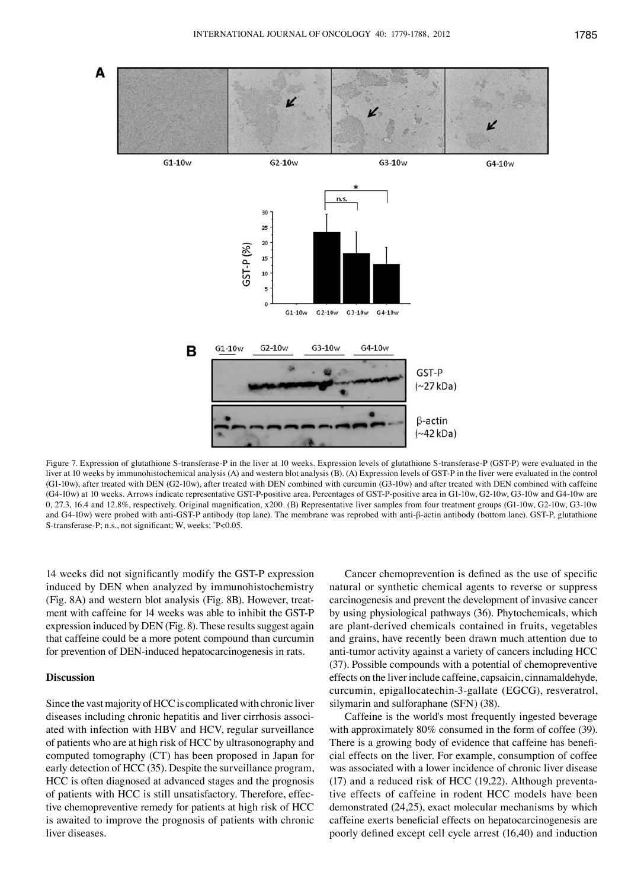

Figure 7. Expression of glutathione S-transferase-P in the liver at 10 weeks. Expression levels of glutathione S-transferase-P (GST-P) were evaluated in the liver at 10 weeks by immunohistochemical analysis (A) and western blot analysis (B). (A) Expression levels of GST-P in the liver were evaluated in the control (G1-10w), after treated with DEN (G2-10w), after treated with DEN combined with curcumin (G3-10w) and after treated with DEN combined with caffeine (G4-10w) at 10 weeks. Arrows indicate representative GST-P-positive area. Percentages of GST-P-positive area in G1-10w, G2-10w, G3-10w and G4-10w are 0, 27.3, 16.4 and 12.8%, respectively. Original magnification, x200. (B) Representative liver samples from four treatment groups (G1-10w, G2-10w, G3-10w and G4-10w) were probed with anti-GST-P antibody (top lane). The membrane was reprobed with anti-β-actin antibody (bottom lane). GST-P, glutathione S-transferase-P; n.s., not significant; W, weeks; \* P<0.05.

14 weeks did not significantly modify the GST-P expression induced by DEN when analyzed by immunohistochemistry (Fig. 8A) and western blot analysis (Fig. 8B). However, treatment with caffeine for 14 weeks was able to inhibit the GST-P expression induced by DEN (Fig. 8). These results suggest again that caffeine could be a more potent compound than curcumin for prevention of DEN-induced hepatocarcinogenesis in rats.

## **Discussion**

Since the vast majority of HCC is complicated with chronic liver diseases including chronic hepatitis and liver cirrhosis associated with infection with HBV and HCV, regular surveillance of patients who are at high risk of HCC by ultrasonography and computed tomography (CT) has been proposed in Japan for early detection of HCC (35). Despite the surveillance program, HCC is often diagnosed at advanced stages and the prognosis of patients with HCC is still unsatisfactory. Therefore, effective chemopreventive remedy for patients at high risk of HCC is awaited to improve the prognosis of patients with chronic liver diseases.

Cancer chemoprevention is defined as the use of specific natural or synthetic chemical agents to reverse or suppress carcinogenesis and prevent the development of invasive cancer by using physiological pathways (36). Phytochemicals, which are plant-derived chemicals contained in fruits, vegetables and grains, have recently been drawn much attention due to anti-tumor activity against a variety of cancers including HCC (37). Possible compounds with a potential of chemopreventive effects on the liver include caffeine, capsaicin, cinnamaldehyde, curcumin, epigallocatechin-3-gallate (EGCG), resveratrol, silymarin and sulforaphane (SFN) (38).

Caffeine is the world's most frequently ingested beverage with approximately 80% consumed in the form of coffee (39). There is a growing body of evidence that caffeine has beneficial effects on the liver. For example, consumption of coffee was associated with a lower incidence of chronic liver disease (17) and a reduced risk of HCC (19,22). Although preventative effects of caffeine in rodent HCC models have been demonstrated (24,25), exact molecular mechanisms by which caffeine exerts beneficial effects on hepatocarcinogenesis are poorly defined except cell cycle arrest (16,40) and induction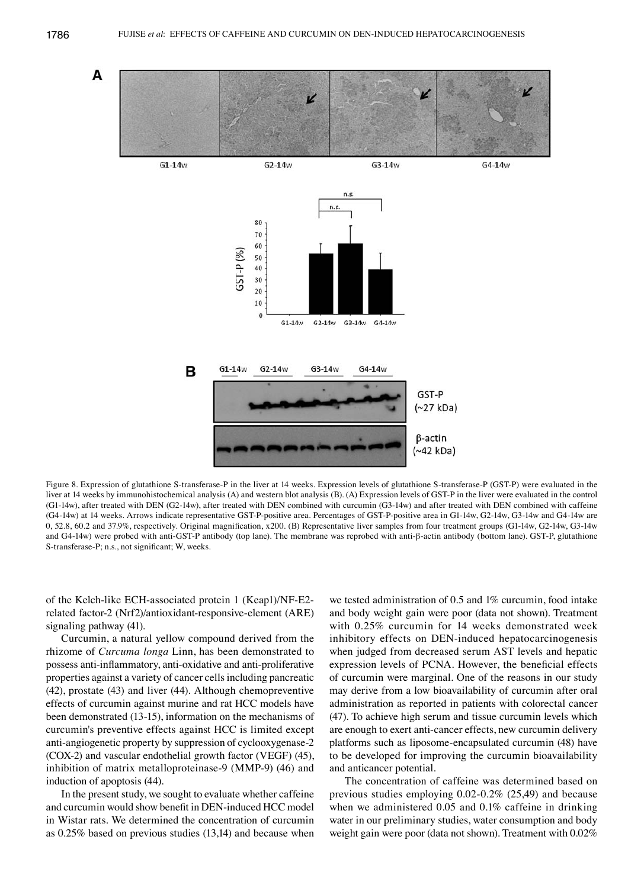

Figure 8. Expression of glutathione S-transferase-P in the liver at 14 weeks. Expression levels of glutathione S-transferase-P (GST-P) were evaluated in the liver at 14 weeks by immunohistochemical analysis (A) and western blot analysis (B). (A) Expression levels of GST-P in the liver were evaluated in the control (G1-14w), after treated with DEN (G2-14w), after treated with DEN combined with curcumin (G3-14w) and after treated with DEN combined with caffeine (G4-14w) at 14 weeks. Arrows indicate representative GST-P-positive area. Percentages of GST-P-positive area in G1-14w, G2-14w, G3-14w and G4-14w are 0, 52.8, 60.2 and 37.9%, respectively. Original magnification, x200. (B) Representative liver samples from four treatment groups (G1-14w, G2-14w, G3-14w and G4-14w) were probed with anti-GST-P antibody (top lane). The membrane was reprobed with anti-β-actin antibody (bottom lane). GST-P, glutathione S-transferase-P; n.s., not significant; W, weeks.

of the Kelch-like ECH-associated protein 1 (Keap1)/NF-E2 related factor-2 (Nrf2)/antioxidant-responsive-element (ARE) signaling pathway (41).

Curcumin, a natural yellow compound derived from the rhizome of *Curcuma longa* Linn, has been demonstrated to possess anti-inflammatory, anti-oxidative and anti-proliferative properties against a variety of cancer cells including pancreatic (42), prostate (43) and liver (44). Although chemopreventive effects of curcumin against murine and rat HCC models have been demonstrated (13-15), information on the mechanisms of curcumin's preventive effects against HCC is limited except anti-angiogenetic property by suppression of cyclooxygenase-2 (COX-2) and vascular endothelial growth factor (VEGF) (45), inhibition of matrix metalloproteinase-9 (MMP-9) (46) and induction of apoptosis (44).

In the present study, we sought to evaluate whether caffeine and curcumin would show benefit in DEN-induced HCC model in Wistar rats. We determined the concentration of curcumin as 0.25% based on previous studies (13,14) and because when

we tested administration of 0.5 and 1% curcumin, food intake and body weight gain were poor (data not shown). Treatment with 0.25% curcumin for 14 weeks demonstrated week inhibitory effects on DEN-induced hepatocarcinogenesis when judged from decreased serum AST levels and hepatic expression levels of PCNA. However, the beneficial effects of curcumin were marginal. One of the reasons in our study may derive from a low bioavailability of curcumin after oral administration as reported in patients with colorectal cancer (47). To achieve high serum and tissue curcumin levels which are enough to exert anti-cancer effects, new curcumin delivery platforms such as liposome-encapsulated curcumin (48) have to be developed for improving the curcumin bioavailability and anticancer potential.

The concentration of caffeine was determined based on previous studies employing 0.02-0.2% (25,49) and because when we administered 0.05 and 0.1% caffeine in drinking water in our preliminary studies, water consumption and body weight gain were poor (data not shown). Treatment with 0.02%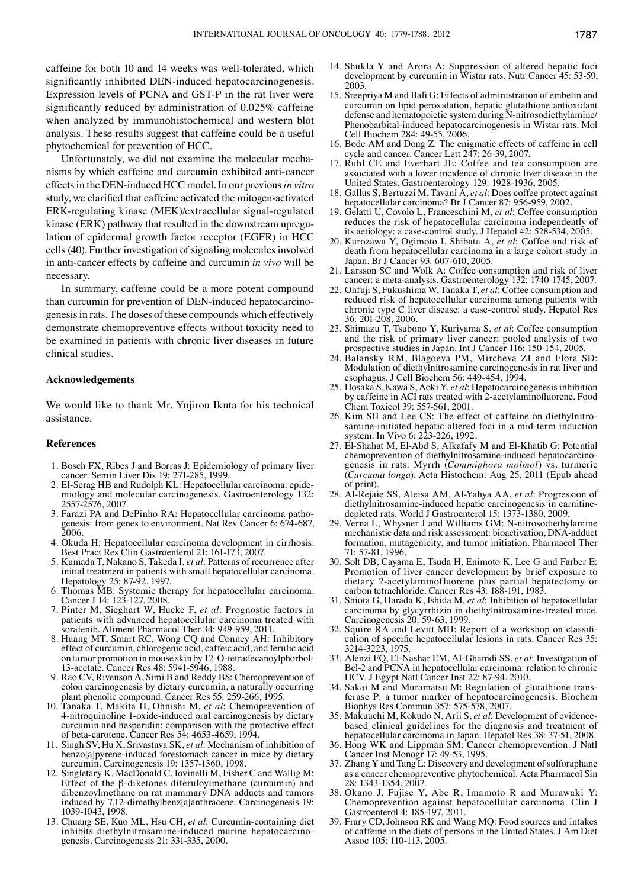caffeine for both 10 and 14 weeks was well-tolerated, which significantly inhibited DEN-induced hepatocarcinogenesis. Expression levels of PCNA and GST-P in the rat liver were significantly reduced by administration of 0.025% caffeine when analyzed by immunohistochemical and western blot analysis. These results suggest that caffeine could be a useful phytochemical for prevention of HCC.

Unfortunately, we did not examine the molecular mechanisms by which caffeine and curcumin exhibited anti-cancer effects in the DEN-induced HCC model. In our previous *in vitro* study, we clarified that caffeine activated the mitogen-activated ERK-regulating kinase (MEK)/extracellular signal-regulated kinase (ERK) pathway that resulted in the downstream upregulation of epidermal growth factor receptor (EGFR) in HCC cells (40). Further investigation of signaling molecules involved in anti-cancer effects by caffeine and curcumin *in vivo* will be necessary.

In summary, caffeine could be a more potent compound than curcumin for prevention of DEN-induced hepatocarcinogenesis in rats. The doses of these compounds which effectively demonstrate chemopreventive effects without toxicity need to be examined in patients with chronic liver diseases in future clinical studies.

## **Acknowledgements**

We would like to thank Mr. Yujirou Ikuta for his technical assistance.

#### **References**

- 1. Bosch FX, Ribes J and Borras J: Epidemiology of primary liver cancer. Semin Liver Dis 19: 271-285, 1999.<br>2. El-Serag HB and Rudolph KL: Hepatocellular carcinoma: epide-
- miology and molecular carcinogenesis. Gastroenterology 132: 2557-2576, 2007.<br>3. Farazi PA and DePinho RA: Hepatocellular carcinoma patho-
- genesis: from genes to environment. Nat Rev Cancer 6: 674-687, 2006.
- 4. Okuda H: Hepatocellular carcinoma development in cirrhosis. Best Pract Res Clin Gastroenterol 21: 161-173, 2007.
- 5. Kumada T, Nakano S, Takeda I, *et al*: Patterns of recurrence after initial treatment in patients with small hepatocellular carcinoma. Hepatology 25: 87-92, 1997.
- 6. Thomas MB: Systemic therapy for hepatocellular carcinoma. Cancer J 14: 123-127, 2008.
- 7. Pinter M, Sieghart W, Hucke F, *et al*: Prognostic factors in patients with advanced hepatocellular carcinoma treated with sorafenib. Aliment Pharmacol Ther 34: 949-959, 2011.
- 8. Huang MT, Smart RC, Wong CQ and Conney AH: Inhibitory effect of curcumin, chlorogenic acid, caffeic acid, and ferulic acid on tumor promotion in mouse skin by 12-O-tetradecanoylphorbol-13-acetate. Cancer Res 48: 5941-5946, 1988.
- 9. Rao CV, Rivenson A, Simi B and Reddy BS: Chemoprevention of colon carcinogenesis by dietary curcumin, a naturally occurring plant phenolic compound. Cancer Res 55: 259-266, 1995.
- 10. Tanaka T, Makita H, Ohnishi M, *et al*: Chemoprevention of 4-nitroquinoline 1-oxide-induced oral carcinogenesis by dietary curcumin and hesperidin: comparison with the protective effect of beta-carotene. Cancer Res 54: 4653-4659, 1994.
- 11. Singh SV, Hu X, Srivastava SK, *et al*: Mechanism of inhibition of benzo[a]pyrene-induced forestomach cancer in mice by dietary curcumin. Carcinogenesis 19: 1357-1360, 1998.
- 12. Singletary K, MacDonald C, Iovinelli M, Fisher C and Wallig M: Effect of the β-diketones diferuloylmethane (curcumin) and dibenzoylmethane on rat mammary DNA adducts and tumors induced by 7,12-dimethylbenz[a]anthracene. Carcinogenesis 19: 1039-1043, 1998.
- 13. Chuang SE, Kuo ML, Hsu CH, *et al*: Curcumin-containing diet inhibits diethylnitrosamine-induced murine hepatocarcino- genesis. Carcinogenesis 21: 331-335, 2000.
- 14. Shukla Y and Arora A: Suppression of altered hepatic foci development by curcumin in Wistar rats. Nutr Cancer 45: 53-59, 2003.
- 15. Sreepriya M and Bali G: Effects of administration of embelin and curcumin on lipid peroxidation, hepatic glutathione antioxidant defense and hematopoietic system during N-nitrosodiethylamine/ Phenobarbital-induced hepatocarcinogenesis in Wistar rats. Mol Cell Biochem 284: 49-55, 2006.
- 16. Bode AM and Dong Z: The enigmatic effects of caffeine in cell cycle and cancer. Cancer Lett 247: 26-39, 2007.
- 17. Ruhl CE and Everhart JE: Coffee and tea consumption are associated with a lower incidence of chronic liver disease in the United States. Gastroenterology 129: 1928-1936, 2005.
- 18. Gallus S, Bertuzzi M, Tavani A, *et al*: Does coffee protect against hepatocellular carcinoma? Br J Cancer 87: 956-959, 2002.
- 19. Gelatti U, Covolo L, Franceschini M, *et al*: Coffee consumption reduces the risk of hepatocellular carcinoma independently of its aetiology: a case-control study. J Hepatol 42: 528-534, 2005.
- 20. Kurozawa Y, Ogimoto I, Shibata A, *et al*: Coffee and risk of death from hepatocellular carcinoma in a large cohort study in Japan. Br J Cancer 93: 607-610, 2005.
- 21. Larsson SC and Wolk A: Coffee consumption and risk of liver cancer: a meta-analysis. Gastroenterology 132: 1740-1745, 2007.
- 22. Ohfuji S, Fukushima W, Tanaka T, *et al*: Coffee consumption and reduced risk of hepatocellular carcinoma among patients with chronic type C liver disease: a case-control study. Hepatol Res 36: 201-208, 2006.
- 23. Shimazu T, Tsubono Y, Kuriyama S, *et al*: Coffee consumption and the risk of primary liver cancer: pooled analysis of two prospective studies in Japan. Int J Cancer 116: 150-154, 2005.
- 24. Balansky RM, Blagoeva PM, Mircheva ZI and Flora SD: Modulation of diethylnitrosamine carcinogenesis in rat liver and esophagus. J Cell Biochem 56: 449-454, 1994.
- 25. Hosaka S, Kawa S, Aoki Y, *et al*: Hepatocarcinogenesis inhibition by caffeine in ACI rats treated with 2-acetylaminofluorene. Food Chem Toxicol 39: 557-561, 2001.
- 26. Kim SH and Lee CS: The effect of caffeine on diethylnitrosamine-initiated hepatic altered foci in a mid-term induction system. In Vivo 6: 223-226, 1992.
- 27. El-Shahat M, El-Abd S, Alkafafy M and El-Khatib G: Potential chemoprevention of diethylnitrosamine-induced hepatocarcinogenesis in rats: Myrrh *(Commiphora molmol)* vs. turmeric (*Curcuma longa*). Acta Histochem: Aug 25, 2011 (Epub ahead of print).
- 28. Al-Rejaie SS, Aleisa AM, Al-Yahya AA, *et al*: Progression of diethylnitrosamine-induced hepatic carcinogenesis in carnitinedepleted rats. World J Gastroenterol 15: 1373-1380, 2009.
- 29. Verna L, Whysner J and Williams GM: N-nitrosodiethylamine mechanistic data and risk assessment: bioactivation, DNA-adduct formation, mutagenicity, and tumor initiation. Pharmacol Ther 71: 57-81, 1996.
- 30. Solt DB, Cayama E, Tsuda H, Enimoto K, Lee G and Farber E: Promotion of liver cancer development by brief exposure to dietary 2-acetylaminofluorene plus partial hepatectomy or carbon tetrachloride. Cancer Res 43: 188-191, 1983.
- 31. Shiota G, Harada K, Ishida M, *et al*: Inhibition of hepatocellular carcinoma by glycyrrhizin in diethylnitrosamine-treated mice. Carcinogenesis 20: 59-63, 1999.<br>32. Squire RA and Levitt MH: Report of a workshop on classifi-
- cation of specific hepatocellular lesions in rats. Cancer Res 35: 3214-3223, 1975.
- 33. Alenzi FQ, El-Nashar EM, Al-Ghamdi SS, *et al*: Investigation of Bcl-2 and PCNA in hepatocellular carcinoma: relation to chronic HCV. J Egypt Natl Cancer Inst 22: 87-94, 2010.
- 34. Sakai M and Muramatsu M: Regulation of glutathione trans- ferase P: a tumor marker of hepatocarcinogenesis. Biochem Biophys Res Commun 357: 575-578, 2007.
- 35. Makuuchi M, Kokudo N, Arii S, *et al*: Development of evidencebased clinical guidelines for the diagnosis and treatment of hepatocellular carcinoma in Japan. Hepatol Res 38: 37-51, 2008.
- 36. Hong WK and Lippman SM: Cancer chemoprevention. J Natl Cancer Inst Monogr 17: 49-53, 1995.
- 37. Zhang Y and Tang L: Discovery and development of sulforaphane as a cancer chemopreventive phytochemical. Acta Pharmacol Sin 28: 1343-1354, 2007.
- 38. Okano J, Fujise Y, Abe R, Imamoto R and Murawaki Y: Chemoprevention against hepatocellular carcinoma. Clin J Gastroenterol 4: 185-197, 2011.
- 39. Frary CD, Johnson RK and Wang MQ: Food sources and intakes of caffeine in the diets of persons in the United States. J Am Diet Assoc 105: 110-113, 2005.